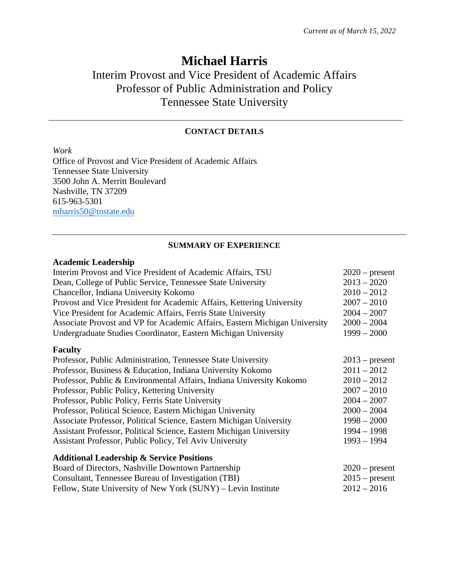# **Michael Harris**

# Interim Provost and Vice President of Academic Affairs Professor of Public Administration and Policy Tennessee State University

### **CONTACT DETAILS**

*Work*

Office of Provost and Vice President of Academic Affairs Tennessee State University 3500 John A. Merritt Boulevard Nashville, TN 37209 615-963-5301 mharris50@tnstate.edu

### **SUMMARY OF EXPERIENCE**

### **Academic Leadership**

| Interim Provost and Vice President of Academic Affairs, TSU                | $2020$ – present |
|----------------------------------------------------------------------------|------------------|
| Dean, College of Public Service, Tennessee State University                | $2013 - 2020$    |
| Chancellor, Indiana University Kokomo                                      | $2010 - 2012$    |
| Provost and Vice President for Academic Affairs, Kettering University      | $2007 - 2010$    |
| Vice President for Academic Affairs, Ferris State University               | $2004 - 2007$    |
| Associate Provost and VP for Academic Affairs, Eastern Michigan University | $2000 - 2004$    |
| Undergraduate Studies Coordinator, Eastern Michigan University             | $1999 - 2000$    |
| <b>Faculty</b>                                                             |                  |
| Professor, Public Administration, Tennessee State University               | $2013$ – present |
| Professor, Business & Education, Indiana University Kokomo                 | $2011 - 2012$    |
| Professor, Public & Environmental Affairs, Indiana University Kokomo       | $2010 - 2012$    |
| Professor, Public Policy, Kettering University                             | $2007 - 2010$    |
| Professor, Public Policy, Ferris State University                          | $2004 - 2007$    |
| Professor, Political Science, Eastern Michigan University                  | $2000 - 2004$    |
| Associate Professor, Political Science, Eastern Michigan University        | $1998 - 2000$    |
| Assistant Professor, Political Science, Eastern Michigan University        | $1994 - 1998$    |
| Assistant Professor, Public Policy, Tel Aviv University                    | $1993 - 1994$    |
| <b>Additional Leadership &amp; Service Positions</b>                       |                  |
| Board of Directors, Nashville Downtown Partnership                         | $2020$ – present |
| Consultant, Tennessee Bureau of Investigation (TBI)                        | $2015$ – present |
| Fellow, State University of New York (SUNY) – Levin Institute              | $2012 - 2016$    |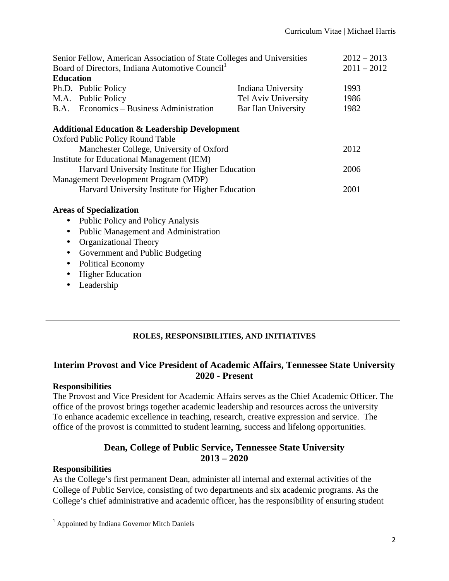| Senior Fellow, American Association of State Colleges and Universities |                     | $2012 - 2013$                                            |
|------------------------------------------------------------------------|---------------------|----------------------------------------------------------|
| Board of Directors, Indiana Automotive Council <sup>1</sup>            |                     | $2011 - 2012$                                            |
| <b>Education</b>                                                       |                     |                                                          |
| Ph.D. Public Policy                                                    | Indiana University  | 1993                                                     |
| M.A. Public Policy                                                     | Tel Aviv University | 1986                                                     |
| B.A. Economics – Business Administration                               | Bar Ilan University | 1982                                                     |
|                                                                        |                     |                                                          |
| Oxford Public Policy Round Table                                       |                     |                                                          |
| Manchester College, University of Oxford                               |                     | 2012                                                     |
| Institute for Educational Management (IEM)                             |                     |                                                          |
| Harvard University Institute for Higher Education                      |                     | 2006                                                     |
| Management Development Program (MDP)                                   |                     |                                                          |
| Harvard University Institute for Higher Education                      |                     | 2001                                                     |
| <b>Areas of Specialization</b>                                         |                     |                                                          |
| Public Policy and Policy Analysis                                      |                     |                                                          |
| Public Management and Administration                                   |                     |                                                          |
| <b>Organizational Theory</b>                                           |                     |                                                          |
| Government and Public Budgeting                                        |                     |                                                          |
| <b>Political Economy</b>                                               |                     |                                                          |
| <b>Higher Education</b>                                                |                     |                                                          |
| Leadership                                                             |                     |                                                          |
|                                                                        |                     | <b>Additional Education &amp; Leadership Development</b> |

# **ROLES, RESPONSIBILITIES, AND INITIATIVES**

# **Interim Provost and Vice President of Academic Affairs, Tennessee State University 2020 - Present**

### **Responsibilities**

The Provost and Vice President for Academic Affairs serves as the Chief Academic Officer. The office of the provost brings together academic leadership and resources across the university To enhance academic excellence in teaching, research, creative expression and service. The office of the provost is committed to student learning, success and lifelong opportunities.

# **Dean, College of Public Service, Tennessee State University 2013 – 2020**

# **Responsibilities**

As the College's first permanent Dean, administer all internal and external activities of the College of Public Service, consisting of two departments and six academic programs. As the College's chief administrative and academic officer, has the responsibility of ensuring student

 

<sup>1</sup> Appointed by Indiana Governor Mitch Daniels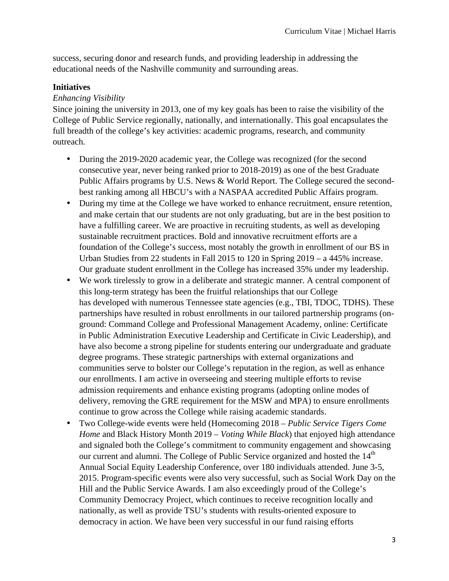success, securing donor and research funds, and providing leadership in addressing the educational needs of the Nashville community and surrounding areas.

### **Initiatives**

### *Enhancing Visibility*

Since joining the university in 2013, one of my key goals has been to raise the visibility of the College of Public Service regionally, nationally, and internationally. This goal encapsulates the full breadth of the college's key activities: academic programs, research, and community outreach.

- During the 2019-2020 academic year, the College was recognized (for the second consecutive year, never being ranked prior to 2018-2019) as one of the best Graduate Public Affairs programs by U.S. News & World Report. The College secured the secondbest ranking among all HBCU's with a NASPAA accredited Public Affairs program.
- During my time at the College we have worked to enhance recruitment, ensure retention, and make certain that our students are not only graduating, but are in the best position to have a fulfilling career. We are proactive in recruiting students, as well as developing sustainable recruitment practices. Bold and innovative recruitment efforts are a foundation of the College's success, most notably the growth in enrollment of our BS in Urban Studies from 22 students in Fall 2015 to 120 in Spring 2019 – a 445% increase. Our graduate student enrollment in the College has increased 35% under my leadership.
- We work tirelessly to grow in a deliberate and strategic manner. A central component of this long-term strategy has been the fruitful relationships that our College has developed with numerous Tennessee state agencies (e.g., TBI, TDOC, TDHS). These partnerships have resulted in robust enrollments in our tailored partnership programs (onground: Command College and Professional Management Academy, online: Certificate in Public Administration Executive Leadership and Certificate in Civic Leadership), and have also become a strong pipeline for students entering our undergraduate and graduate degree programs. These strategic partnerships with external organizations and communities serve to bolster our College's reputation in the region, as well as enhance our enrollments. I am active in overseeing and steering multiple efforts to revise admission requirements and enhance existing programs (adopting online modes of delivery, removing the GRE requirement for the MSW and MPA) to ensure enrollments continue to grow across the College while raising academic standards.
- Two College-wide events were held (Homecoming 2018 *Public Service Tigers Come Home* and Black History Month 2019 – *Voting While Black*) that enjoyed high attendance and signaled both the College's commitment to community engagement and showcasing our current and alumni. The College of Public Service organized and hosted the  $14<sup>th</sup>$ Annual Social Equity Leadership Conference, over 180 individuals attended. June 3-5, 2015. Program-specific events were also very successful, such as Social Work Day on the Hill and the Public Service Awards. I am also exceedingly proud of the College's Community Democracy Project, which continues to receive recognition locally and nationally, as well as provide TSU's students with results-oriented exposure to democracy in action. We have been very successful in our fund raising efforts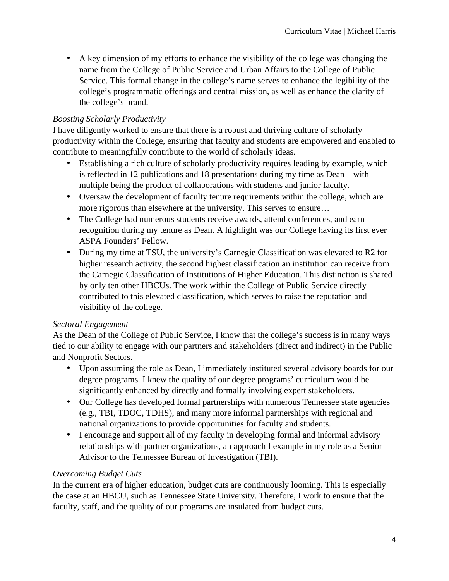• A key dimension of my efforts to enhance the visibility of the college was changing the name from the College of Public Service and Urban Affairs to the College of Public Service. This formal change in the college's name serves to enhance the legibility of the college's programmatic offerings and central mission, as well as enhance the clarity of the college's brand.

# *Boosting Scholarly Productivity*

I have diligently worked to ensure that there is a robust and thriving culture of scholarly productivity within the College, ensuring that faculty and students are empowered and enabled to contribute to meaningfully contribute to the world of scholarly ideas.

- Establishing a rich culture of scholarly productivity requires leading by example, which is reflected in 12 publications and 18 presentations during my time as Dean – with multiple being the product of collaborations with students and junior faculty.
- Oversaw the development of faculty tenure requirements within the college, which are more rigorous than elsewhere at the university. This serves to ensure…
- The College had numerous students receive awards, attend conferences, and earn recognition during my tenure as Dean. A highlight was our College having its first ever ASPA Founders' Fellow.
- During my time at TSU, the university's Carnegie Classification was elevated to R2 for higher research activity, the second highest classification an institution can receive from the Carnegie Classification of Institutions of Higher Education. This distinction is shared by only ten other HBCUs. The work within the College of Public Service directly contributed to this elevated classification, which serves to raise the reputation and visibility of the college.

### *Sectoral Engagement*

As the Dean of the College of Public Service, I know that the college's success is in many ways tied to our ability to engage with our partners and stakeholders (direct and indirect) in the Public and Nonprofit Sectors.

- Upon assuming the role as Dean, I immediately instituted several advisory boards for our degree programs. I knew the quality of our degree programs' curriculum would be significantly enhanced by directly and formally involving expert stakeholders.
- Our College has developed formal partnerships with numerous Tennessee state agencies (e.g., TBI, TDOC, TDHS), and many more informal partnerships with regional and national organizations to provide opportunities for faculty and students.
- I encourage and support all of my faculty in developing formal and informal advisory relationships with partner organizations, an approach I example in my role as a Senior Advisor to the Tennessee Bureau of Investigation (TBI).

### *Overcoming Budget Cuts*

In the current era of higher education, budget cuts are continuously looming. This is especially the case at an HBCU, such as Tennessee State University. Therefore, I work to ensure that the faculty, staff, and the quality of our programs are insulated from budget cuts.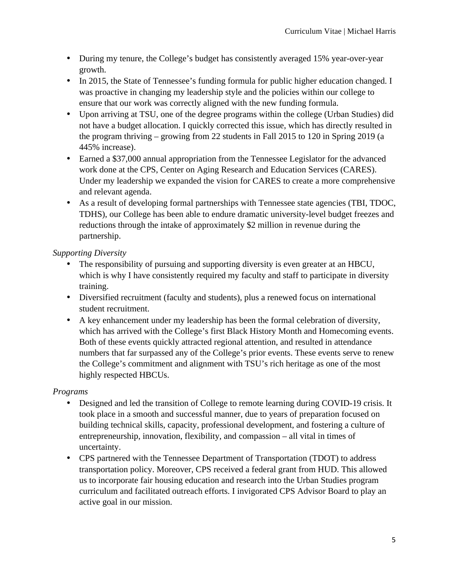- During my tenure, the College's budget has consistently averaged 15% year-over-year growth.
- In 2015, the State of Tennessee's funding formula for public higher education changed. I was proactive in changing my leadership style and the policies within our college to ensure that our work was correctly aligned with the new funding formula.
- Upon arriving at TSU, one of the degree programs within the college (Urban Studies) did not have a budget allocation. I quickly corrected this issue, which has directly resulted in the program thriving – growing from 22 students in Fall 2015 to 120 in Spring 2019 (a 445% increase).
- Earned a \$37,000 annual appropriation from the Tennessee Legislator for the advanced work done at the CPS, Center on Aging Research and Education Services (CARES). Under my leadership we expanded the vision for CARES to create a more comprehensive and relevant agenda.
- As a result of developing formal partnerships with Tennessee state agencies (TBI, TDOC, TDHS), our College has been able to endure dramatic university-level budget freezes and reductions through the intake of approximately \$2 million in revenue during the partnership.

# *Supporting Diversity*

- The responsibility of pursuing and supporting diversity is even greater at an HBCU, which is why I have consistently required my faculty and staff to participate in diversity training.
- Diversified recruitment (faculty and students), plus a renewed focus on international student recruitment.
- A key enhancement under my leadership has been the formal celebration of diversity, which has arrived with the College's first Black History Month and Homecoming events. Both of these events quickly attracted regional attention, and resulted in attendance numbers that far surpassed any of the College's prior events. These events serve to renew the College's commitment and alignment with TSU's rich heritage as one of the most highly respected HBCUs.

# *Programs*

- Designed and led the transition of College to remote learning during COVID-19 crisis. It took place in a smooth and successful manner, due to years of preparation focused on building technical skills, capacity, professional development, and fostering a culture of entrepreneurship, innovation, flexibility, and compassion – all vital in times of uncertainty.
- CPS partnered with the Tennessee Department of Transportation (TDOT) to address transportation policy. Moreover, CPS received a federal grant from HUD. This allowed us to incorporate fair housing education and research into the Urban Studies program curriculum and facilitated outreach efforts. I invigorated CPS Advisor Board to play an active goal in our mission.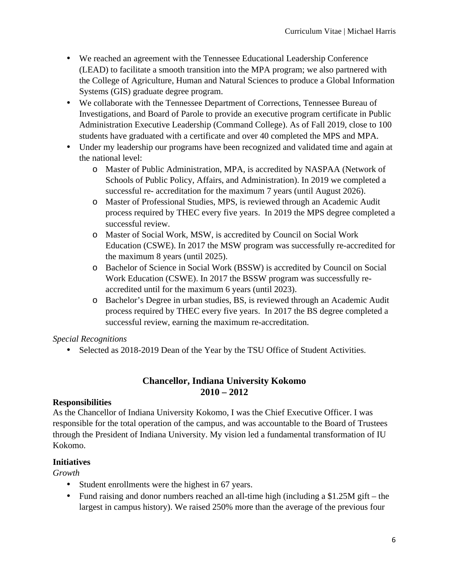- We reached an agreement with the Tennessee Educational Leadership Conference (LEAD) to facilitate a smooth transition into the MPA program; we also partnered with the College of Agriculture, Human and Natural Sciences to produce a Global Information Systems (GIS) graduate degree program.
- We collaborate with the Tennessee Department of Corrections, Tennessee Bureau of Investigations, and Board of Parole to provide an executive program certificate in Public Administration Executive Leadership (Command College). As of Fall 2019, close to 100 students have graduated with a certificate and over 40 completed the MPS and MPA.
- Under my leadership our programs have been recognized and validated time and again at the national level:
	- o Master of Public Administration, MPA, is accredited by NASPAA (Network of Schools of Public Policy, Affairs, and Administration). In 2019 we completed a successful re- accreditation for the maximum 7 years (until August 2026).
	- o Master of Professional Studies, MPS, is reviewed through an Academic Audit process required by THEC every five years. In 2019 the MPS degree completed a successful review.
	- o Master of Social Work, MSW, is accredited by Council on Social Work Education (CSWE). In 2017 the MSW program was successfully re-accredited for the maximum 8 years (until 2025).
	- o Bachelor of Science in Social Work (BSSW) is accredited by Council on Social Work Education (CSWE). In 2017 the BSSW program was successfully reaccredited until for the maximum 6 years (until 2023).
	- o Bachelor's Degree in urban studies, BS, is reviewed through an Academic Audit process required by THEC every five years. In 2017 the BS degree completed a successful review, earning the maximum re-accreditation.

# *Special Recognitions*

• Selected as 2018-2019 Dean of the Year by the TSU Office of Student Activities.

### **Chancellor, Indiana University Kokomo 2010 – 2012**

### **Responsibilities**

As the Chancellor of Indiana University Kokomo, I was the Chief Executive Officer. I was responsible for the total operation of the campus, and was accountable to the Board of Trustees through the President of Indiana University. My vision led a fundamental transformation of IU Kokomo.

### **Initiatives**

*Growth*

- Student enrollments were the highest in 67 years.
- Fund raising and donor numbers reached an all-time high (including a \$1.25M gift the largest in campus history). We raised 250% more than the average of the previous four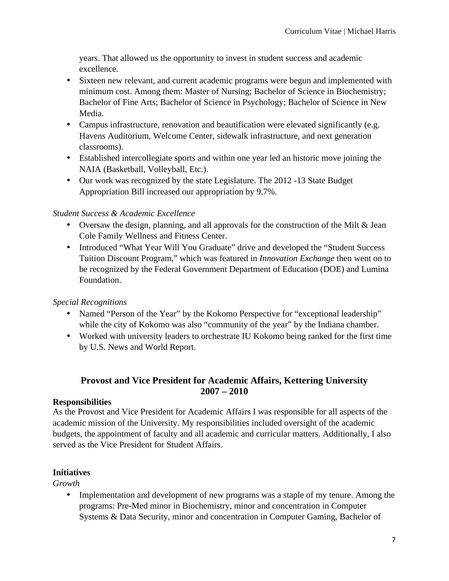years. That allowed us the opportunity to invest in student success and academic excellence.

- Sixteen new relevant, and current academic programs were begun and implemented with minimum cost. Among them: Master of Nursing; Bachelor of Science in Biochemistry; Bachelor of Fine Arts; Bachelor of Science in Psychology; Bachelor of Science in New Media.
- Campus infrastructure, renovation and beautification were elevated significantly (e.g. Havens Auditorium, Welcome Center, sidewalk infrastructure, and next generation classrooms).
- Established intercollegiate sports and within one year led an historic move joining the NAIA (Basketball, Volleyball, Etc.).
- Our work was recognized by the state Legislature. The 2012 -13 State Budget Appropriation Bill increased our appropriation by 9.7%.

# *Student Success & Academic Excellence*

- Oversaw the design, planning, and all approvals for the construction of the Milt & Jean Cole Family Wellness and Fitness Center.
- Introduced "What Year Will You Graduate" drive and developed the "Student Success Tuition Discount Program," which was featured in *Innovation Exchange* then went on to be recognized by the Federal Government Department of Education (DOE) and Lumina Foundation.

# *Special Recognitions*

- Named "Person of the Year" by the Kokomo Perspective for "exceptional leadership" while the city of Kokomo was also "community of the year" by the Indiana chamber.
- Worked with university leaders to orchestrate IU Kokomo being ranked for the first time by U.S. News and World Report.

# **Provost and Vice President for Academic Affairs, Kettering University 2007 – 2010**

### **Responsibilities**

As the Provost and Vice President for Academic Affairs I was responsible for all aspects of the academic mission of the University. My responsibilities included oversight of the academic budgets, the appointment of faculty and all academic and curricular matters. Additionally, I also served as the Vice President for Student Affairs.

# **Initiatives**

*Growth*

• Implementation and development of new programs was a staple of my tenure. Among the programs: Pre-Med minor in Biochemistry, minor and concentration in Computer Systems & Data Security, minor and concentration in Computer Gaming, Bachelor of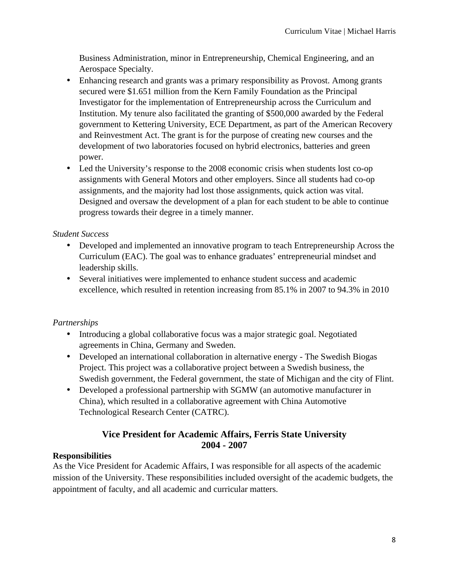Business Administration, minor in Entrepreneurship, Chemical Engineering, and an Aerospace Specialty.

- Enhancing research and grants was a primary responsibility as Provost. Among grants secured were \$1.651 million from the Kern Family Foundation as the Principal Investigator for the implementation of Entrepreneurship across the Curriculum and Institution. My tenure also facilitated the granting of \$500,000 awarded by the Federal government to Kettering University, ECE Department, as part of the American Recovery and Reinvestment Act. The grant is for the purpose of creating new courses and the development of two laboratories focused on hybrid electronics, batteries and green power.
- Led the University's response to the 2008 economic crisis when students lost co-op assignments with General Motors and other employers. Since all students had co-op assignments, and the majority had lost those assignments, quick action was vital. Designed and oversaw the development of a plan for each student to be able to continue progress towards their degree in a timely manner.

# *Student Success*

- Developed and implemented an innovative program to teach Entrepreneurship Across the Curriculum (EAC). The goal was to enhance graduates' entrepreneurial mindset and leadership skills.
- Several initiatives were implemented to enhance student success and academic excellence, which resulted in retention increasing from 85.1% in 2007 to 94.3% in 2010

# *Partnerships*

- Introducing a global collaborative focus was a major strategic goal. Negotiated agreements in China, Germany and Sweden.
- Developed an international collaboration in alternative energy The Swedish Biogas Project. This project was a collaborative project between a Swedish business, the Swedish government, the Federal government, the state of Michigan and the city of Flint.
- Developed a professional partnership with SGMW (an automotive manufacturer in China), which resulted in a collaborative agreement with China Automotive Technological Research Center (CATRC).

# **Vice President for Academic Affairs, Ferris State University 2004 - 2007**

# **Responsibilities**

As the Vice President for Academic Affairs, I was responsible for all aspects of the academic mission of the University. These responsibilities included oversight of the academic budgets, the appointment of faculty, and all academic and curricular matters.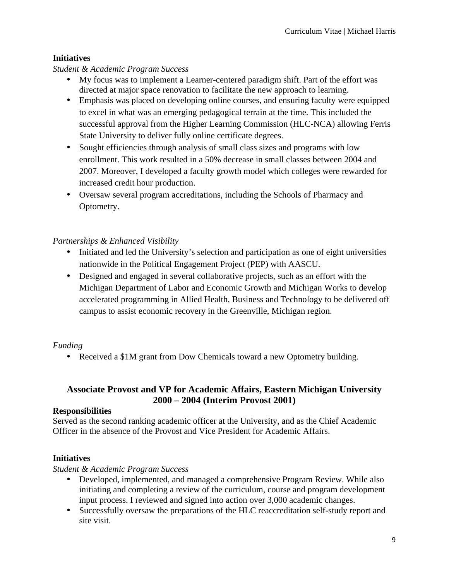### **Initiatives**

### *Student & Academic Program Success*

- My focus was to implement a Learner-centered paradigm shift. Part of the effort was directed at major space renovation to facilitate the new approach to learning.
- Emphasis was placed on developing online courses, and ensuring faculty were equipped to excel in what was an emerging pedagogical terrain at the time. This included the successful approval from the Higher Learning Commission (HLC-NCA) allowing Ferris State University to deliver fully online certificate degrees.
- Sought efficiencies through analysis of small class sizes and programs with low enrollment. This work resulted in a 50% decrease in small classes between 2004 and 2007. Moreover, I developed a faculty growth model which colleges were rewarded for increased credit hour production.
- Oversaw several program accreditations, including the Schools of Pharmacy and Optometry.

### *Partnerships & Enhanced Visibility*

- Initiated and led the University's selection and participation as one of eight universities nationwide in the Political Engagement Project (PEP) with AASCU.
- Designed and engaged in several collaborative projects, such as an effort with the Michigan Department of Labor and Economic Growth and Michigan Works to develop accelerated programming in Allied Health, Business and Technology to be delivered off campus to assist economic recovery in the Greenville, Michigan region.

# *Funding*

• Received a \$1M grant from Dow Chemicals toward a new Optometry building.

# **Associate Provost and VP for Academic Affairs, Eastern Michigan University 2000 – 2004 (Interim Provost 2001)**

### **Responsibilities**

Served as the second ranking academic officer at the University, and as the Chief Academic Officer in the absence of the Provost and Vice President for Academic Affairs.

# **Initiatives**

### *Student & Academic Program Success*

- Developed, implemented, and managed a comprehensive Program Review. While also initiating and completing a review of the curriculum, course and program development input process. I reviewed and signed into action over 3,000 academic changes.
- Successfully oversaw the preparations of the HLC reaccreditation self-study report and site visit.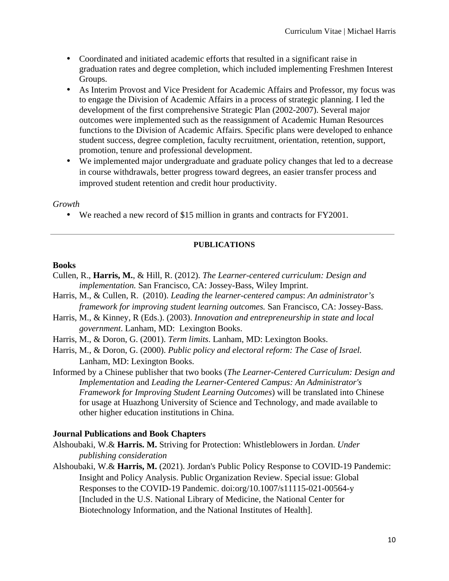- Coordinated and initiated academic efforts that resulted in a significant raise in graduation rates and degree completion, which included implementing Freshmen Interest Groups.
- As Interim Provost and Vice President for Academic Affairs and Professor, my focus was to engage the Division of Academic Affairs in a process of strategic planning. I led the development of the first comprehensive Strategic Plan (2002-2007). Several major outcomes were implemented such as the reassignment of Academic Human Resources functions to the Division of Academic Affairs. Specific plans were developed to enhance student success, degree completion, faculty recruitment, orientation, retention, support, promotion, tenure and professional development.
- We implemented major undergraduate and graduate policy changes that led to a decrease in course withdrawals, better progress toward degrees, an easier transfer process and improved student retention and credit hour productivity.

### *Growth*

• We reached a new record of \$15 million in grants and contracts for FY2001.

### **PUBLICATIONS**

### **Books**

- Cullen, R., **Harris, M.**, & Hill, R. (2012). *The Learner-centered curriculum: Design and implementation.* San Francisco, CA: Jossey-Bass, Wiley Imprint.
- Harris, M., & Cullen, R. (2010). *Leading the learner-centered campus*: *An administrator's framework for improving student learning outcomes.* San Francisco, CA: Jossey-Bass.
- Harris, M., & Kinney, R (Eds.). (2003). *Innovation and entrepreneurship in state and local government*. Lanham, MD: Lexington Books.
- Harris, M., & Doron, G. (2001). *Term limits*. Lanham, MD: Lexington Books.
- Harris, M., & Doron, G. (2000). *Public policy and electoral reform: The Case of Israel.* Lanham, MD: Lexington Books.
- Informed by a Chinese publisher that two books (*The Learner-Centered Curriculum: Design and Implementation* and *Leading the Learner-Centered Campus: An Administrator's Framework for Improving Student Learning Outcomes*) will be translated into Chinese for usage at Huazhong University of Science and Technology, and made available to other higher education institutions in China.

### **Journal Publications and Book Chapters**

- Alshoubaki, W.& **Harris. M.** Striving for Protection: Whistleblowers in Jordan. *Under publishing consideration*
- Alshoubaki, W.& **Harris, M.** (2021). Jordan's Public Policy Response to COVID-19 Pandemic: Insight and Policy Analysis. Public Organization Review. Special issue: Global Responses to the COVID-19 Pandemic. doi:org/10.1007/s11115-021-00564-y [Included in the U.S. National Library of Medicine, the National Center for Biotechnology Information, and the National Institutes of Health].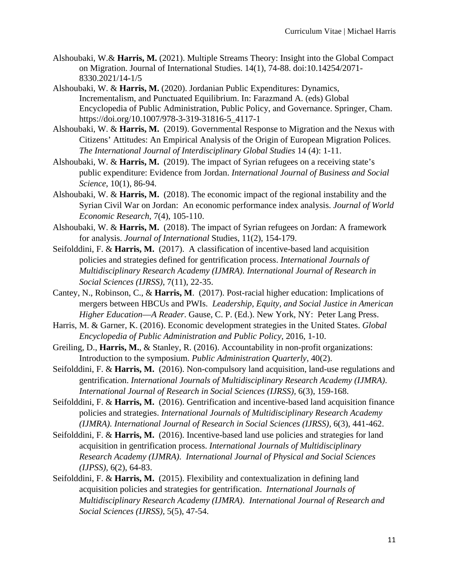- Alshoubaki, W.& **Harris, M.** (2021). Multiple Streams Theory: Insight into the Global Compact on Migration. Journal of International Studies. 14(1), 74-88. doi:10.14254/2071- 8330.2021/14-1/5
- Alshoubaki, W. & **Harris, M.** (2020). Jordanian Public Expenditures: Dynamics, Incrementalism, and Punctuated Equilibrium. In: Farazmand A. (eds) Global Encyclopedia of Public Administration, Public Policy, and Governance. Springer, Cham. https://doi.org/10.1007/978-3-319-31816-5\_4117-1
- Alshoubaki, W. & **Harris, M.** (2019). Governmental Response to Migration and the Nexus with Citizens' Attitudes: An Empirical Analysis of the Origin of European Migration Polices. *The International Journal of Interdisciplinary Global Studies* 14 (4): 1-11.
- Alshoubaki, W. & **Harris, M.** (2019). The impact of Syrian refugees on a receiving state's public expenditure: Evidence from Jordan. *International Journal of Business and Social Science*, 10(1), 86-94.
- Alshoubaki, W. & **Harris, M.** (2018). The economic impact of the regional instability and the Syrian Civil War on Jordan: An economic performance index analysis. *Journal of World Economic Research*, 7(4), 105-110.
- Alshoubaki, W. & **Harris, M.** (2018). The impact of Syrian refugees on Jordan: A framework for analysis. *Journal of International* Studies, 11(2), 154-179.
- Seifolddini, F. & **Harris, M.** (2017). A classification of incentive-based land acquisition policies and strategies defined for gentrification process. *International Journals of Multidisciplinary Research Academy (IJMRA). International Journal of Research in Social Sciences (IJRSS),* 7(11), 22-35.
- Cantey, N., Robinson, C., & **Harris, M**. (2017). Post-racial higher education: Implications of mergers between HBCUs and PWIs. *Leadership, Equity, and Social Justice in American Higher Education*—*A Reader*. Gause, C. P. (Ed.). New York, NY: Peter Lang Press.
- Harris, M. & Garner, K. (2016). Economic development strategies in the United States. *Global Encyclopedia of Public Administration and Public Policy,* 2016, 1-10.
- Greiling, D., **Harris, M.**, & Stanley, R. (2016). Accountability in non-profit organizations: Introduction to the symposium. *Public Administration Quarterly*, 40(2).
- Seifolddini, F. & **Harris, M.** (2016). Non-compulsory land acquisition, land-use regulations and gentrification. *International Journals of Multidisciplinary Research Academy (IJMRA)*. *International Journal of Research in Social Sciences (IJRSS),* 6(3), 159-168.
- Seifolddini, F. & **Harris, M.** (2016). Gentrification and incentive-based land acquisition finance policies and strategies. *International Journals of Multidisciplinary Research Academy (IJMRA). International Journal of Research in Social Sciences (IJRSS),* 6(3), 441-462.
- Seifolddini, F. & **Harris, M.** (2016). Incentive-based land use policies and strategies for land acquisition in gentrification process. *International Journals of Multidisciplinary Research Academy (IJMRA)*. *International Journal of Physical and Social Sciences (IJPSS),* 6(2), 64-83.
- Seifolddini, F. & **Harris, M.** (2015). Flexibility and contextualization in defining land acquisition policies and strategies for gentrification. *International Journals of Multidisciplinary Research Academy (IJMRA)*. *International Journal of Research and Social Sciences (IJRSS),* 5(5), 47-54.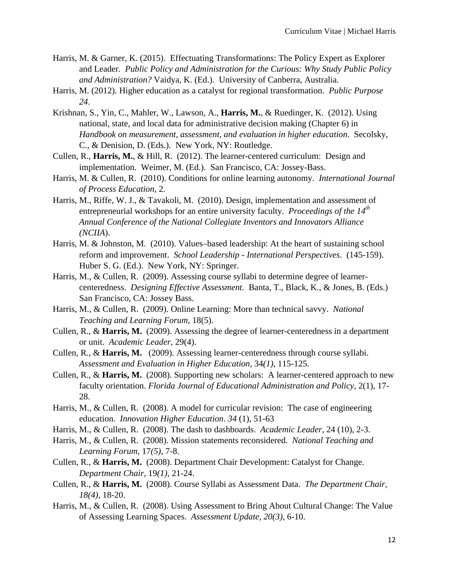- Harris, M. & Garner, K. (2015). Effectuating Transformations: The Policy Expert as Explorer and Leader*. Public Policy and Administration for the Curious: Why Study Public Policy and Administration?* Vaidya, K. (Ed.). University of Canberra, Australia.
- Harris, M. (2012). Higher education as a catalyst for regional transformation. *Public Purpose 24*.
- Krishnan, S., Yin, C., Mahler, W., Lawson, A., **Harris, M.**, & Ruedinger, K. (2012). Using national, state, and local data for administrative decision making (Chapter 6) in *Handbook on measurement, assessment, and evaluation in higher education*. Secolsky, C., & Denision, D. (Eds.). New York, NY: Routledge.
- Cullen, R., **Harris, M.**, & Hill, R. (2012). The learner-centered curriculum: Design and implementation. Weimer, M. (Ed.). San Francisco, CA: Jossey-Bass.
- Harris, M. & Cullen, R. (2010). Conditions for online learning autonomy. *International Journal of Process Education,* 2.
- Harris, M., Riffe, W. J., & Tavakoli, M. (2010). Design, implementation and assessment of entrepreneurial workshops for an entire university faculty. *Proceedings of the 14th Annual Conference of the National Collegiate Inventors and Innovators Alliance (NCIIA*).
- Harris, M. & Johnston, M. (2010). Values–based leadership: At the heart of sustaining school reform and improvement. *School Leadership - International Perspectives*. (145-159). Huber S. G. (Ed.). New York, NY: Springer.
- Harris, M., & Cullen, R. (2009). Assessing course syllabi to determine degree of learnercenteredness. *Designing Effective Assessment.* Banta, T., Black, K., & Jones, B. (Eds.) San Francisco, CA: Jossey Bass.
- Harris, M., & Cullen, R. (2009). Online Learning: More than technical savvy. *National Teaching and Learning Forum*, 18(5).
- Cullen, R., & **Harris, M.** (2009). Assessing the degree of learner-centeredness in a department or unit. *Academic Leader,* 29(4).
- Cullen, R., & **Harris, M.** (2009). Assessing learner-centeredness through course syllabi. *Assessment and Evaluation in Higher Education,* 34*(1)*, 115-125.
- Cullen, R., & **Harris, M.** (2008). Supporting new scholars: A learner-centered approach to new faculty orientation. *Florida Journal of Educational Administration and Policy,* 2(1), 17- 28.
- Harris, M., & Cullen, R. (2008). A model for curricular revision: The case of engineering education. *Innovation Higher Education*. *34* (1), 51-63
- Harris, M., & Cullen, R. (2008). The dash to dashboards. *Academic Leader,* 24 (10), 2-3.
- Harris, M., & Cullen, R. (2008). Mission statements reconsidered. *National Teaching and Learning Forum,* 17*(5)*, 7-8.
- Cullen, R., & **Harris, M.** (2008). Department Chair Development: Catalyst for Change. *Department Chair*, 19*(1)*, 21-24.
- Cullen, R., & **Harris, M.** (2008). Course Syllabi as Assessment Data. *The Department Chair, 18(4)*, 18-20.
- Harris, M., & Cullen, R. (2008). Using Assessment to Bring About Cultural Change: The Value of Assessing Learning Spaces. *Assessment Update, 20(3)*, 6-10.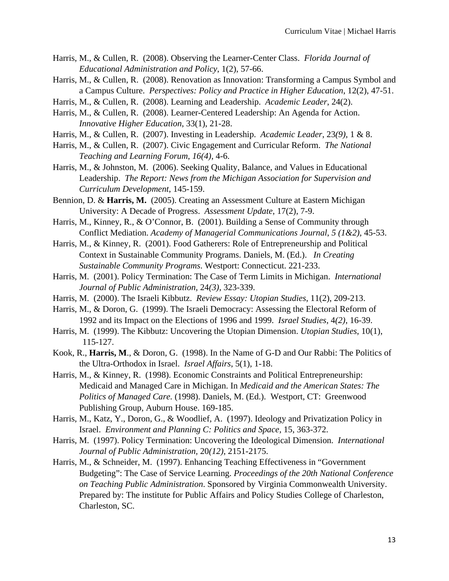- Harris, M., & Cullen, R. (2008). Observing the Learner-Center Class. *Florida Journal of Educational Administration and Policy*, 1(2), 57-66.
- Harris, M., & Cullen, R. (2008). Renovation as Innovation: Transforming a Campus Symbol and a Campus Culture. *Perspectives: Policy and Practice in Higher Education*, 12(2), 47-51.
- Harris, M., & Cullen, R. (2008). Learning and Leadership. *Academic Leader*, 24(2).
- Harris, M., & Cullen, R. (2008). Learner-Centered Leadership: An Agenda for Action. *Innovative Higher Education*, 33(1), 21-28.
- Harris, M., & Cullen, R. (2007). Investing in Leadership. *Academic Leader*, 23*(9)*, 1 & 8.
- Harris, M., & Cullen, R. (2007). Civic Engagement and Curricular Reform. *The National Teaching and Learning Forum*, *16(4)*, 4-6.
- Harris, M., & Johnston, M. (2006). Seeking Quality, Balance, and Values in Educational Leadership. *The Report: News from the Michigan Association for Supervision and Curriculum Development*, 145-159.
- Bennion, D. & **Harris, M.** (2005). Creating an Assessment Culture at Eastern Michigan University: A Decade of Progress. *Assessment Update*, 17(2), 7-9.
- Harris, M., Kinney, R., & O'Connor, B. (2001). Building a Sense of Community through Conflict Mediation. *Academy of Managerial Communications Journal*, *5 (1&2),* 45-53.
- Harris, M., & Kinney, R. (2001). Food Gatherers: Role of Entrepreneurship and Political Context in Sustainable Community Programs. Daniels, M. (Ed.). *In Creating Sustainable Community Programs*. Westport: Connecticut. 221-233.
- Harris, M. (2001). Policy Termination: The Case of Term Limits in Michigan. *International Journal of Public Administration,* 24*(3)*, 323-339.
- Harris, M. (2000). The Israeli Kibbutz. *Review Essay: Utopian Studies*, 11(2), 209-213.
- Harris, M., & Doron, G. (1999). The Israeli Democracy: Assessing the Electoral Reform of 1992 and its Impact on the Elections of 1996 and 1999. *Israel Studies*, 4*(2)*, 16-39.
- Harris, M. (1999). The Kibbutz: Uncovering the Utopian Dimension. *Utopian Studies*, 10(1), 115-127.
- Kook, R., **Harris, M**., & Doron, G. (1998). In the Name of G-D and Our Rabbi: The Politics of the Ultra-Orthodox in Israel. *Israel Affairs*, 5(1), 1-18.
- Harris, M., & Kinney, R. (1998). Economic Constraints and Political Entrepreneurship: Medicaid and Managed Care in Michigan. In *Medicaid and the American States: The Politics of Managed Care.* (1998). Daniels, M. (Ed.). Westport, CT: Greenwood Publishing Group, Auburn House. 169-185.
- Harris, M., Katz, Y., Doron, G., & Woodlief, A. (1997). Ideology and Privatization Policy in Israel. *Environment and Planning C: Politics and Space,* 15, 363-372.
- Harris, M. (1997). Policy Termination: Uncovering the Ideological Dimension. *International Journal of Public Administration,* 20*(12)*, 2151-2175.
- Harris, M., & Schneider, M. (1997). Enhancing Teaching Effectiveness in "Government Budgeting": The Case of Service Learning. *Proceedings of the 20th National Conference on Teaching Public Administration*. Sponsored by Virginia Commonwealth University. Prepared by: The institute for Public Affairs and Policy Studies College of Charleston, Charleston, SC.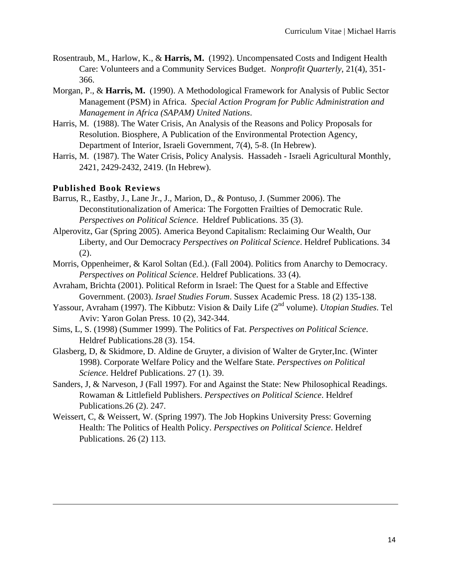- Rosentraub, M., Harlow, K., & **Harris, M.** (1992). Uncompensated Costs and Indigent Health Care: Volunteers and a Community Services Budget. *Nonprofit Quarterly*, 21(4), 351- 366.
- Morgan, P., & **Harris, M.** (1990). A Methodological Framework for Analysis of Public Sector Management (PSM) in Africa. *Special Action Program for Public Administration and Management in Africa (SAPAM) United Nations*.
- Harris, M. (1988). The Water Crisis, An Analysis of the Reasons and Policy Proposals for Resolution. Biosphere, A Publication of the Environmental Protection Agency, Department of Interior, Israeli Government, 7(4), 5-8. (In Hebrew).
- Harris, M. (1987). The Water Crisis, Policy Analysis. Hassadeh Israeli Agricultural Monthly, 2421, 2429-2432, 2419. (In Hebrew).

### **Published Book Reviews**

- Barrus, R., Eastby, J., Lane Jr., J., Marion, D., & Pontuso, J. (Summer 2006). The Deconstitutionalization of America: The Forgotten Frailties of Democratic Rule. *Perspectives on Political Science*. Heldref Publications. 35 (3).
- Alperovitz, Gar (Spring 2005). America Beyond Capitalism: Reclaiming Our Wealth, Our Liberty, and Our Democracy *Perspectives on Political Science*. Heldref Publications. 34 (2).
- Morris, Oppenheimer, & Karol Soltan (Ed.). (Fall 2004). Politics from Anarchy to Democracy. *Perspectives on Political Science*. Heldref Publications. 33 (4).
- Avraham, Brichta (2001). Political Reform in Israel: The Quest for a Stable and Effective Government. (2003). *Israel Studies Forum*. Sussex Academic Press. 18 (2) 135-138.
- Yassour, Avraham (1997). The Kibbutz: Vision & Daily Life (2<sup>nd</sup> volume). *Utopian Studies*. Tel Aviv: Yaron Golan Press. 10 (2), 342-344.
- Sims, L, S. (1998) (Summer 1999). The Politics of Fat. *Perspectives on Political Science*. Heldref Publications.28 (3). 154.
- Glasberg, D, & Skidmore, D. Aldine de Gruyter, a division of Walter de Gryter,Inc. (Winter 1998). Corporate Welfare Policy and the Welfare State. *Perspectives on Political Science*. Heldref Publications. 27 (1). 39.
- Sanders, J, & Narveson, J (Fall 1997). For and Against the State: New Philosophical Readings. Rowaman & Littlefield Publishers. *Perspectives on Political Science*. Heldref Publications.26 (2). 247.
- Weissert, C, & Weissert, W. (Spring 1997). The Job Hopkins University Press: Governing Health: The Politics of Health Policy. *Perspectives on Political Science*. Heldref Publications. 26 (2) 113.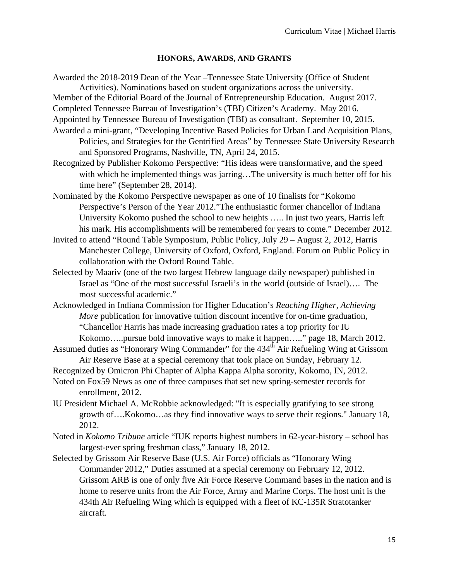#### **HONORS, AWARDS, AND GRANTS**

Awarded the 2018-2019 Dean of the Year –Tennessee State University (Office of Student

Activities). Nominations based on student organizations across the university.

Member of the Editorial Board of the Journal of Entrepreneurship Education. August 2017. Completed Tennessee Bureau of Investigation's (TBI) Citizen's Academy. May 2016.

Appointed by Tennessee Bureau of Investigation (TBI) as consultant. September 10, 2015.

- Awarded a mini-grant, "Developing Incentive Based Policies for Urban Land Acquisition Plans, Policies, and Strategies for the Gentrified Areas" by Tennessee State University Research and Sponsored Programs, Nashville, TN, April 24, 2015.
- Recognized by Publisher Kokomo Perspective: "His ideas were transformative, and the speed with which he implemented things was jarring...The university is much better off for his time here" (September 28, 2014).
- Nominated by the Kokomo Perspective newspaper as one of 10 finalists for "Kokomo Perspective's Person of the Year 2012."The enthusiastic former chancellor of Indiana University Kokomo pushed the school to new heights ….. In just two years, Harris left his mark. His accomplishments will be remembered for years to come." December 2012.
- Invited to attend "Round Table Symposium, Public Policy, July 29 August 2, 2012, Harris Manchester College, University of Oxford, Oxford, England. Forum on Public Policy in collaboration with the Oxford Round Table.
- Selected by Maariv (one of the two largest Hebrew language daily newspaper) published in Israel as "One of the most successful Israeli's in the world (outside of Israel)…. The most successful academic."
- Acknowledged in Indiana Commission for Higher Education's *Reaching Higher, Achieving More* publication for innovative tuition discount incentive for on-time graduation, "Chancellor Harris has made increasing graduation rates a top priority for IU Kokomo…..pursue bold innovative ways to make it happen….." page 18, March 2012.
- Assumed duties as "Honorary Wing Commander" for the 434<sup>th</sup> Air Refueling Wing at Grissom Air Reserve Base at a special ceremony that took place on Sunday, February 12.
- Recognized by Omicron Phi Chapter of Alpha Kappa Alpha sorority, Kokomo, IN, 2012.
- Noted on Fox59 News as one of three campuses that set new spring-semester records for enrollment, 2012.
- IU President Michael A. McRobbie acknowledged: "It is especially gratifying to see strong growth of….Kokomo…as they find innovative ways to serve their regions." January 18, 2012.
- Noted in *Kokomo Tribune* article "IUK reports highest numbers in 62-year-history school has largest-ever spring freshman class," January 18, 2012.
- Selected by Grissom Air Reserve Base (U.S. Air Force) officials as "Honorary Wing Commander 2012," Duties assumed at a special ceremony on February 12, 2012. Grissom ARB is one of only five Air Force Reserve Command bases in the nation and is home to reserve units from the Air Force, Army and Marine Corps. The host unit is the 434th Air Refueling Wing which is equipped with a fleet of KC-135R Stratotanker aircraft.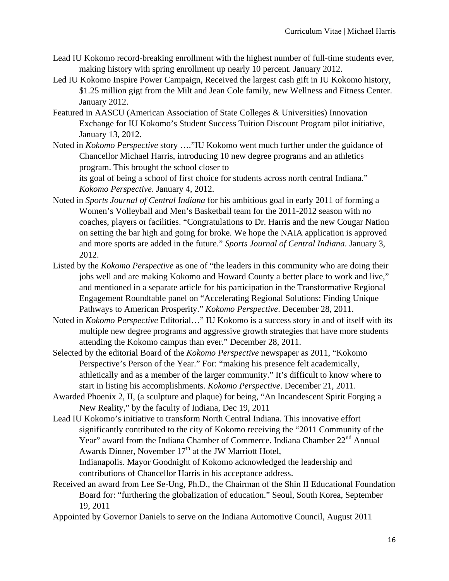- Lead IU Kokomo record-breaking enrollment with the highest number of full-time students ever, making history with spring enrollment up nearly 10 percent. January 2012.
- Led IU Kokomo Inspire Power Campaign, Received the largest cash gift in IU Kokomo history, \$1.25 million gigt from the Milt and Jean Cole family, new Wellness and Fitness Center. January 2012.
- Featured in AASCU (American Association of State Colleges & Universities) Innovation Exchange for IU Kokomo's Student Success Tuition Discount Program pilot initiative, January 13, 2012.
- Noted in *Kokomo Perspective* story …."IU Kokomo went much further under the guidance of Chancellor Michael Harris, introducing 10 new degree programs and an athletics program. This brought the school closer to

its goal of being a school of first choice for students across north central Indiana." *Kokomo Perspective*. January 4, 2012.

- Noted in *Sports Journal of Central Indiana* for his ambitious goal in early 2011 of forming a Women's Volleyball and Men's Basketball team for the 2011-2012 season with no coaches, players or facilities. "Congratulations to Dr. Harris and the new Cougar Nation on setting the bar high and going for broke. We hope the NAIA application is approved and more sports are added in the future." *Sports Journal of Central Indiana*. January 3, 2012.
- Listed by the *Kokomo Perspective* as one of "the leaders in this community who are doing their jobs well and are making Kokomo and Howard County a better place to work and live," and mentioned in a separate article for his participation in the Transformative Regional Engagement Roundtable panel on "Accelerating Regional Solutions: Finding Unique Pathways to American Prosperity." *Kokomo Perspective*. December 28, 2011.
- Noted in *Kokomo Perspective* Editorial…" IU Kokomo is a success story in and of itself with its multiple new degree programs and aggressive growth strategies that have more students attending the Kokomo campus than ever." December 28, 2011.
- Selected by the editorial Board of the *Kokomo Perspective* newspaper as 2011, "Kokomo Perspective's Person of the Year." For: "making his presence felt academically, athletically and as a member of the larger community." It's difficult to know where to start in listing his accomplishments. *Kokomo Perspective*. December 21, 2011.
- Awarded Phoenix 2, II, (a sculpture and plaque) for being, "An Incandescent Spirit Forging a New Reality," by the faculty of Indiana, Dec 19, 2011
- Lead IU Kokomo's initiative to transform North Central Indiana. This innovative effort significantly contributed to the city of Kokomo receiving the "2011 Community of the Year" award from the Indiana Chamber of Commerce. Indiana Chamber 22<sup>nd</sup> Annual Awards Dinner, November  $17<sup>th</sup>$  at the JW Marriott Hotel, Indianapolis. Mayor Goodnight of Kokomo acknowledged the leadership and

contributions of Chancellor Harris in his acceptance address.

- Received an award from Lee Se-Ung, Ph.D., the Chairman of the Shin II Educational Foundation Board for: "furthering the globalization of education." Seoul, South Korea, September 19, 2011
- Appointed by Governor Daniels to serve on the Indiana Automotive Council, August 2011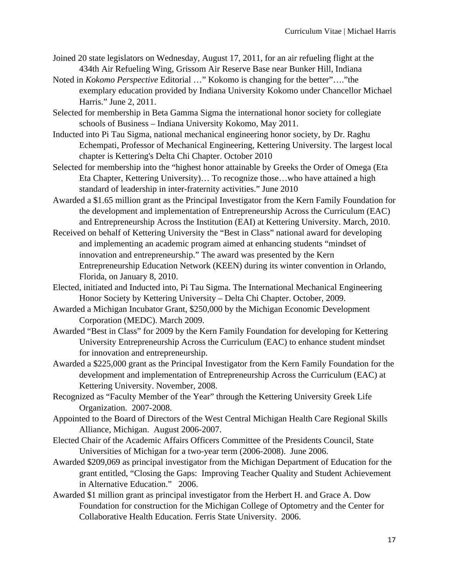- Joined 20 state legislators on Wednesday, August 17, 2011, for an air refueling flight at the 434th Air Refueling Wing, Grissom Air Reserve Base near Bunker Hill, Indiana
- Noted in *Kokomo Perspective* Editorial …" Kokomo is changing for the better"…."the exemplary education provided by Indiana University Kokomo under Chancellor Michael Harris." June 2, 2011.
- Selected for membership in Beta Gamma Sigma the international honor society for collegiate schools of Business – Indiana University Kokomo, May 2011.
- Inducted into Pi Tau Sigma, national mechanical engineering honor society, by Dr. Raghu Echempati, Professor of Mechanical Engineering, Kettering University. The largest local chapter is Kettering's Delta Chi Chapter. October 2010
- Selected for membership into the "highest honor attainable by Greeks the Order of Omega (Eta Eta Chapter, Kettering University)… To recognize those…who have attained a high standard of leadership in inter-fraternity activities." June 2010
- Awarded a \$1.65 million grant as the Principal Investigator from the Kern Family Foundation for the development and implementation of Entrepreneurship Across the Curriculum (EAC) and Entrepreneurship Across the Institution (EAI) at Kettering University. March, 2010.
- Received on behalf of Kettering University the "Best in Class" national award for developing and implementing an academic program aimed at enhancing students "mindset of innovation and entrepreneurship." The award was presented by the Kern Entrepreneurship Education Network (KEEN) during its winter convention in Orlando, Florida, on January 8, 2010.
- Elected, initiated and Inducted into, Pi Tau Sigma. The International Mechanical Engineering Honor Society by Kettering University – Delta Chi Chapter. October, 2009.
- Awarded a Michigan Incubator Grant, \$250,000 by the Michigan Economic Development Corporation (MEDC). March 2009.
- Awarded "Best in Class" for 2009 by the Kern Family Foundation for developing for Kettering University Entrepreneurship Across the Curriculum (EAC) to enhance student mindset for innovation and entrepreneurship.
- Awarded a \$225,000 grant as the Principal Investigator from the Kern Family Foundation for the development and implementation of Entrepreneurship Across the Curriculum (EAC) at Kettering University. November, 2008.
- Recognized as "Faculty Member of the Year" through the Kettering University Greek Life Organization. 2007-2008.
- Appointed to the Board of Directors of the West Central Michigan Health Care Regional Skills Alliance, Michigan. August 2006-2007.
- Elected Chair of the Academic Affairs Officers Committee of the Presidents Council, State Universities of Michigan for a two-year term (2006-2008). June 2006.
- Awarded \$209,069 as principal investigator from the Michigan Department of Education for the grant entitled, "Closing the Gaps: Improving Teacher Quality and Student Achievement in Alternative Education." 2006.
- Awarded \$1 million grant as principal investigator from the Herbert H. and Grace A. Dow Foundation for construction for the Michigan College of Optometry and the Center for Collaborative Health Education. Ferris State University. 2006.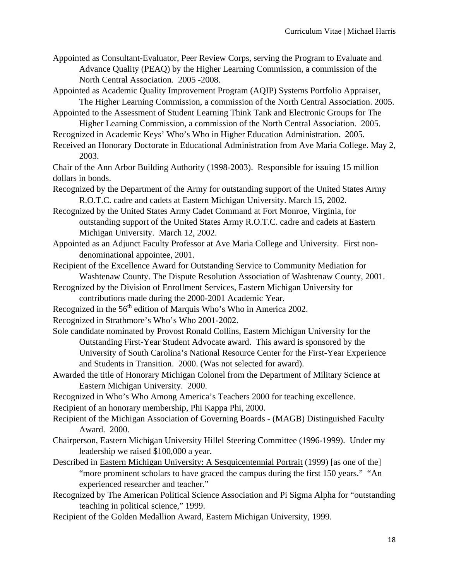Appointed as Consultant-Evaluator, Peer Review Corps, serving the Program to Evaluate and Advance Quality (PEAQ) by the Higher Learning Commission, a commission of the North Central Association. 2005 -2008.

- Appointed as Academic Quality Improvement Program (AQIP) Systems Portfolio Appraiser, The Higher Learning Commission, a commission of the North Central Association. 2005.
- Appointed to the Assessment of Student Learning Think Tank and Electronic Groups for The Higher Learning Commission, a commission of the North Central Association. 2005.

Recognized in Academic Keys' Who's Who in Higher Education Administration. 2005.

Received an Honorary Doctorate in Educational Administration from Ave Maria College. May 2, 2003.

Chair of the Ann Arbor Building Authority (1998-2003). Responsible for issuing 15 million dollars in bonds.

Recognized by the Department of the Army for outstanding support of the United States Army R.O.T.C. cadre and cadets at Eastern Michigan University. March 15, 2002.

- Recognized by the United States Army Cadet Command at Fort Monroe, Virginia, for outstanding support of the United States Army R.O.T.C. cadre and cadets at Eastern Michigan University. March 12, 2002.
- Appointed as an Adjunct Faculty Professor at Ave Maria College and University. First nondenominational appointee, 2001.
- Recipient of the Excellence Award for Outstanding Service to Community Mediation for Washtenaw County. The Dispute Resolution Association of Washtenaw County, 2001.
- Recognized by the Division of Enrollment Services, Eastern Michigan University for contributions made during the 2000-2001 Academic Year.
- Recognized in the 56<sup>th</sup> edition of Marquis Who's Who in America 2002.

Recognized in Strathmore's Who's Who 2001-2002.

- Sole candidate nominated by Provost Ronald Collins, Eastern Michigan University for the Outstanding First-Year Student Advocate award. This award is sponsored by the University of South Carolina's National Resource Center for the First-Year Experience and Students in Transition. 2000. (Was not selected for award).
- Awarded the title of Honorary Michigan Colonel from the Department of Military Science at Eastern Michigan University. 2000.
- Recognized in Who's Who Among America's Teachers 2000 for teaching excellence.

Recipient of an honorary membership, Phi Kappa Phi, 2000.

- Recipient of the Michigan Association of Governing Boards (MAGB) Distinguished Faculty Award. 2000.
- Chairperson, Eastern Michigan University Hillel Steering Committee (1996-1999). Under my leadership we raised \$100,000 a year.
- Described in Eastern Michigan University: A Sesquicentennial Portrait (1999) [as one of the] "more prominent scholars to have graced the campus during the first 150 years." "An experienced researcher and teacher."
- Recognized by The American Political Science Association and Pi Sigma Alpha for "outstanding teaching in political science," 1999.
- Recipient of the Golden Medallion Award, Eastern Michigan University, 1999.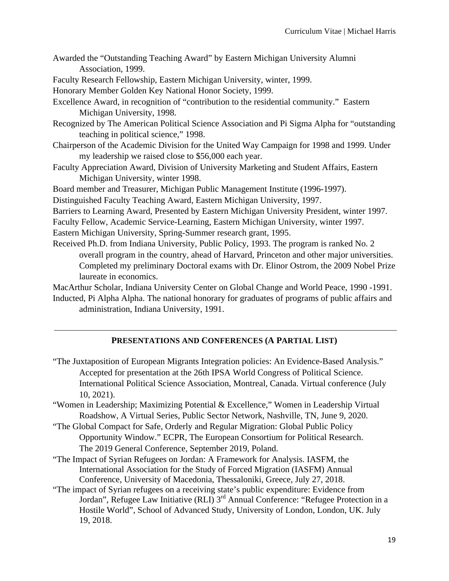- Awarded the "Outstanding Teaching Award" by Eastern Michigan University Alumni Association, 1999.
- Faculty Research Fellowship, Eastern Michigan University, winter, 1999.
- Honorary Member Golden Key National Honor Society, 1999.
- Excellence Award, in recognition of "contribution to the residential community." Eastern Michigan University, 1998.
- Recognized by The American Political Science Association and Pi Sigma Alpha for "outstanding teaching in political science," 1998.
- Chairperson of the Academic Division for the United Way Campaign for 1998 and 1999. Under my leadership we raised close to \$56,000 each year.
- Faculty Appreciation Award, Division of University Marketing and Student Affairs, Eastern Michigan University, winter 1998.

Board member and Treasurer, Michigan Public Management Institute (1996-1997).

Distinguished Faculty Teaching Award, Eastern Michigan University, 1997.

Barriers to Learning Award, Presented by Eastern Michigan University President, winter 1997.

Faculty Fellow, Academic Service-Learning, Eastern Michigan University, winter 1997.

Eastern Michigan University, Spring-Summer research grant, 1995.

Received Ph.D. from Indiana University, Public Policy, 1993. The program is ranked No. 2 overall program in the country, ahead of Harvard, Princeton and other major universities. Completed my preliminary Doctoral exams with Dr. Elinor Ostrom, the 2009 Nobel Prize laureate in economics.

MacArthur Scholar, Indiana University Center on Global Change and World Peace, 1990 -1991. Inducted, Pi Alpha Alpha. The national honorary for graduates of programs of public affairs and administration, Indiana University, 1991.

### **PRESENTATIONS AND CONFERENCES (A PARTIAL LIST)**

- "The Juxtaposition of European Migrants Integration policies: An Evidence-Based Analysis." Accepted for presentation at the 26th IPSA World Congress of Political Science. International Political Science Association, Montreal, Canada. Virtual conference (July 10, 2021).
- "Women in Leadership; Maximizing Potential & Excellence," Women in Leadership Virtual Roadshow, A Virtual Series, Public Sector Network, Nashville, TN, June 9, 2020.
- "The Global Compact for Safe, Orderly and Regular Migration: Global Public Policy Opportunity Window." ECPR, The European Consortium for Political Research. The 2019 General Conference, September 2019, Poland.
- "The Impact of Syrian Refugees on Jordan: A Framework for Analysis. IASFM, the International Association for the Study of Forced Migration (IASFM) Annual Conference, University of Macedonia, Thessaloniki, Greece, July 27, 2018.
- "The impact of Syrian refugees on a receiving state's public expenditure: Evidence from Jordan", Refugee Law Initiative (RLI) 3<sup>rd</sup> Annual Conference: "Refugee Protection in a Hostile World", School of Advanced Study, University of London, London, UK. July 19, 2018.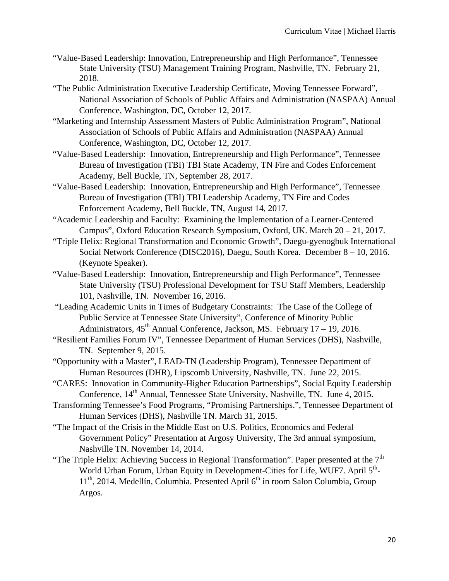- "Value-Based Leadership: Innovation, Entrepreneurship and High Performance", Tennessee State University (TSU) Management Training Program, Nashville, TN. February 21, 2018.
- "The Public Administration Executive Leadership Certificate, Moving Tennessee Forward", National Association of Schools of Public Affairs and Administration (NASPAA) Annual Conference, Washington, DC, October 12, 2017.
- "Marketing and Internship Assessment Masters of Public Administration Program", National Association of Schools of Public Affairs and Administration (NASPAA) Annual Conference, Washington, DC, October 12, 2017.
- "Value-Based Leadership: Innovation, Entrepreneurship and High Performance", Tennessee Bureau of Investigation (TBI) TBI State Academy, TN Fire and Codes Enforcement Academy, Bell Buckle, TN, September 28, 2017.
- "Value-Based Leadership: Innovation, Entrepreneurship and High Performance", Tennessee Bureau of Investigation (TBI) TBI Leadership Academy, TN Fire and Codes Enforcement Academy, Bell Buckle, TN, August 14, 2017.
- "Academic Leadership and Faculty: Examining the Implementation of a Learner-Centered Campus", Oxford Education Research Symposium, Oxford, UK. March 20 – 21, 2017.
- "Triple Helix: Regional Transformation and Economic Growth", Daegu-gyenogbuk International Social Network Conference (DISC2016), Daegu, South Korea. December 8 – 10, 2016. (Keynote Speaker).
- "Value-Based Leadership: Innovation, Entrepreneurship and High Performance", Tennessee State University (TSU) Professional Development for TSU Staff Members, Leadership 101, Nashville, TN. November 16, 2016.
- "Leading Academic Units in Times of Budgetary Constraints: The Case of the College of Public Service at Tennessee State University", Conference of Minority Public Administrators,  $45<sup>th</sup>$  Annual Conference, Jackson, MS. February  $17 - 19$ , 2016.
- "Resilient Families Forum IV", Tennessee Department of Human Services (DHS), Nashville, TN. September 9, 2015.
- "Opportunity with a Master", LEAD-TN (Leadership Program), Tennessee Department of Human Resources (DHR), Lipscomb University, Nashville, TN. June 22, 2015.
- "CARES: Innovation in Community-Higher Education Partnerships", Social Equity Leadership Conference, 14<sup>th</sup> Annual, Tennessee State University, Nashville, TN. June 4, 2015.
- Transforming Tennessee's Food Programs, "Promising Partnerships.", Tennessee Department of Human Services (DHS), Nashville TN. March 31, 2015.
- "The Impact of the Crisis in the Middle East on U.S. Politics, Economics and Federal Government Policy" Presentation at Argosy University, The 3rd annual symposium, Nashville TN. November 14, 2014.
- "The Triple Helix: Achieving Success in Regional Transformation". Paper presented at the  $7<sup>th</sup>$ World Urban Forum, Urban Equity in Development-Cities for Life, WUF7. April 5<sup>th</sup>- $11<sup>th</sup>$ , 2014. Medellín, Columbia. Presented April  $6<sup>th</sup>$  in room Salon Columbia, Group Argos.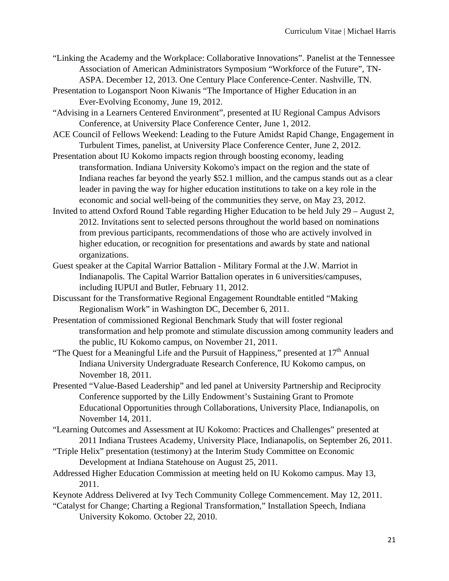- "Linking the Academy and the Workplace: Collaborative Innovations". Panelist at the Tennessee Association of American Administrators Symposium "Workforce of the Future", TN-ASPA. December 12, 2013. One Century Place Conference-Center. Nashville, TN.
- Presentation to Logansport Noon Kiwanis "The Importance of Higher Education in an Ever-Evolving Economy, June 19, 2012.
- "Advising in a Learners Centered Environment", presented at IU Regional Campus Advisors Conference, at University Place Conference Center, June 1, 2012.
- ACE Council of Fellows Weekend: Leading to the Future Amidst Rapid Change, Engagement in Turbulent Times, panelist, at University Place Conference Center, June 2, 2012.
- Presentation about IU Kokomo impacts region through boosting economy, leading transformation. Indiana University Kokomo's impact on the region and the state of Indiana reaches far beyond the yearly \$52.1 million, and the campus stands out as a clear leader in paving the way for higher education institutions to take on a key role in the economic and social well-being of the communities they serve, on May 23, 2012.
- Invited to attend Oxford Round Table regarding Higher Education to be held July 29 August 2, 2012. Invitations sent to selected persons throughout the world based on nominations from previous participants, recommendations of those who are actively involved in higher education, or recognition for presentations and awards by state and national organizations.
- Guest speaker at the Capital Warrior Battalion Military Formal at the J.W. Marriot in Indianapolis. The Capital Warrior Battalion operates in 6 universities/campuses, including IUPUI and Butler, February 11, 2012.
- Discussant for the Transformative Regional Engagement Roundtable entitled "Making Regionalism Work" in Washington DC, December 6, 2011.
- Presentation of commissioned Regional Benchmark Study that will foster regional transformation and help promote and stimulate discussion among community leaders and the public, IU Kokomo campus, on November 21, 2011.
- "The Quest for a Meaningful Life and the Pursuit of Happiness," presented at  $17<sup>th</sup>$  Annual Indiana University Undergraduate Research Conference, IU Kokomo campus, on November 18, 2011.
- Presented "Value-Based Leadership" and led panel at University Partnership and Reciprocity Conference supported by the Lilly Endowment's Sustaining Grant to Promote Educational Opportunities through Collaborations, University Place, Indianapolis, on November 14, 2011.
- "Learning Outcomes and Assessment at IU Kokomo: Practices and Challenges" presented at 2011 Indiana Trustees Academy, University Place, Indianapolis, on September 26, 2011.
- "Triple Helix" presentation (testimony) at the Interim Study Committee on Economic Development at Indiana Statehouse on August 25, 2011.
- Addressed Higher Education Commission at meeting held on IU Kokomo campus. May 13, 2011.
- Keynote Address Delivered at Ivy Tech Community College Commencement. May 12, 2011.
- "Catalyst for Change; Charting a Regional Transformation," Installation Speech, Indiana University Kokomo. October 22, 2010.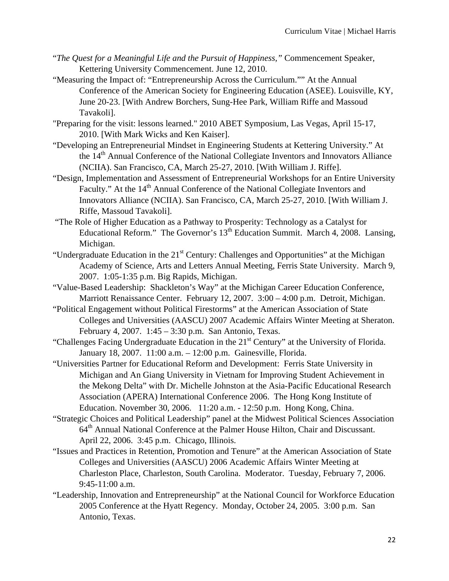- "*The Quest for a Meaningful Life and the Pursuit of Happiness,"* Commencement Speaker, Kettering University Commencement. June 12, 2010.
- "Measuring the Impact of: "Entrepreneurship Across the Curriculum."" At the Annual Conference of the American Society for Engineering Education (ASEE). Louisville, KY, June 20-23. [With Andrew Borchers, Sung-Hee Park, William Riffe and Massoud Tavakoli].
- "Preparing for the visit: lessons learned." 2010 ABET Symposium, Las Vegas, April 15-17, 2010. [With Mark Wicks and Ken Kaiser].
- "Developing an Entrepreneurial Mindset in Engineering Students at Kettering University." At the 14<sup>th</sup> Annual Conference of the National Collegiate Inventors and Innovators Alliance (NCIIA). San Francisco, CA, March 25-27, 2010. [With William J. Riffe].
- "Design, Implementation and Assessment of Entrepreneurial Workshops for an Entire University Faculty." At the 14<sup>th</sup> Annual Conference of the National Collegiate Inventors and Innovators Alliance (NCIIA). San Francisco, CA, March 25-27, 2010. [With William J. Riffe, Massoud Tavakoli].
- "The Role of Higher Education as a Pathway to Prosperity: Technology as a Catalyst for Educational Reform." The Governor's  $13<sup>th</sup>$  Education Summit. March 4, 2008. Lansing, Michigan.
- "Undergraduate Education in the  $21<sup>st</sup>$  Century: Challenges and Opportunities" at the Michigan Academy of Science, Arts and Letters Annual Meeting, Ferris State University. March 9, 2007. 1:05-1:35 p.m. Big Rapids, Michigan.
- "Value-Based Leadership: Shackleton's Way" at the Michigan Career Education Conference, Marriott Renaissance Center. February 12, 2007. 3:00 – 4:00 p.m. Detroit, Michigan.
- "Political Engagement without Political Firestorms" at the American Association of State Colleges and Universities (AASCU) 2007 Academic Affairs Winter Meeting at Sheraton. February 4, 2007. 1:45 – 3:30 p.m. San Antonio, Texas.
- "Challenges Facing Undergraduate Education in the 21<sup>st</sup> Century" at the University of Florida. January 18, 2007. 11:00 a.m. – 12:00 p.m. Gainesville, Florida.
- "Universities Partner for Educational Reform and Development: Ferris State University in Michigan and An Giang University in Vietnam for Improving Student Achievement in the Mekong Delta" with Dr. Michelle Johnston at the Asia-Pacific Educational Research Association (APERA) International Conference 2006. The Hong Kong Institute of Education. November 30, 2006. 11:20 a.m. - 12:50 p.m. Hong Kong, China.
- "Strategic Choices and Political Leadership" panel at the Midwest Political Sciences Association 64<sup>th</sup> Annual National Conference at the Palmer House Hilton, Chair and Discussant. April 22, 2006. 3:45 p.m. Chicago, Illinois.
- "Issues and Practices in Retention, Promotion and Tenure" at the American Association of State Colleges and Universities (AASCU) 2006 Academic Affairs Winter Meeting at Charleston Place, Charleston, South Carolina. Moderator. Tuesday, February 7, 2006. 9:45-11:00 a.m.
- "Leadership, Innovation and Entrepreneurship" at the National Council for Workforce Education 2005 Conference at the Hyatt Regency. Monday, October 24, 2005. 3:00 p.m. San Antonio, Texas.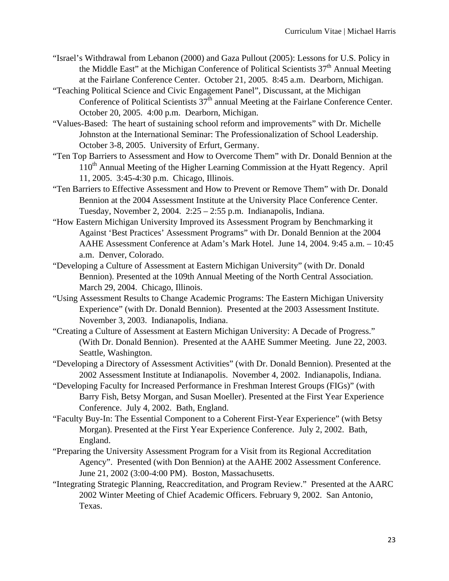- "Israel's Withdrawal from Lebanon (2000) and Gaza Pullout (2005): Lessons for U.S. Policy in the Middle East" at the Michigan Conference of Political Scientists  $37<sup>th</sup>$  Annual Meeting at the Fairlane Conference Center. October 21, 2005. 8:45 a.m. Dearborn, Michigan.
- "Teaching Political Science and Civic Engagement Panel", Discussant, at the Michigan Conference of Political Scientists  $37<sup>th</sup>$  annual Meeting at the Fairlane Conference Center. October 20, 2005. 4:00 p.m. Dearborn, Michigan.
- "Values-Based: The heart of sustaining school reform and improvements" with Dr. Michelle Johnston at the International Seminar: The Professionalization of School Leadership. October 3-8, 2005. University of Erfurt, Germany.
- "Ten Top Barriers to Assessment and How to Overcome Them" with Dr. Donald Bennion at the 110<sup>th</sup> Annual Meeting of the Higher Learning Commission at the Hyatt Regency. April 11, 2005. 3:45-4:30 p.m. Chicago, Illinois.
- "Ten Barriers to Effective Assessment and How to Prevent or Remove Them" with Dr. Donald Bennion at the 2004 Assessment Institute at the University Place Conference Center. Tuesday, November 2, 2004.  $2:25 - 2:55$  p.m. Indianapolis, Indiana.
- "How Eastern Michigan University Improved its Assessment Program by Benchmarking it Against 'Best Practices' Assessment Programs" with Dr. Donald Bennion at the 2004 AAHE Assessment Conference at Adam's Mark Hotel. June 14, 2004. 9:45 a.m. – 10:45 a.m. Denver, Colorado.
- "Developing a Culture of Assessment at Eastern Michigan University" (with Dr. Donald Bennion). Presented at the 109th Annual Meeting of the North Central Association. March 29, 2004. Chicago, Illinois.
- "Using Assessment Results to Change Academic Programs: The Eastern Michigan University Experience" (with Dr. Donald Bennion). Presented at the 2003 Assessment Institute. November 3, 2003. Indianapolis, Indiana.
- "Creating a Culture of Assessment at Eastern Michigan University: A Decade of Progress." (With Dr. Donald Bennion). Presented at the AAHE Summer Meeting. June 22, 2003. Seattle, Washington.
- "Developing a Directory of Assessment Activities" (with Dr. Donald Bennion). Presented at the 2002 Assessment Institute at Indianapolis. November 4, 2002. Indianapolis, Indiana.
- "Developing Faculty for Increased Performance in Freshman Interest Groups (FIGs)" (with Barry Fish, Betsy Morgan, and Susan Moeller). Presented at the First Year Experience Conference. July 4, 2002. Bath, England.
- "Faculty Buy-In: The Essential Component to a Coherent First-Year Experience" (with Betsy Morgan). Presented at the First Year Experience Conference. July 2, 2002. Bath, England.
- "Preparing the University Assessment Program for a Visit from its Regional Accreditation Agency". Presented (with Don Bennion) at the AAHE 2002 Assessment Conference. June 21, 2002 (3:00-4:00 PM). Boston, Massachusetts.
- "Integrating Strategic Planning, Reaccreditation, and Program Review." Presented at the AARC 2002 Winter Meeting of Chief Academic Officers. February 9, 2002. San Antonio, Texas.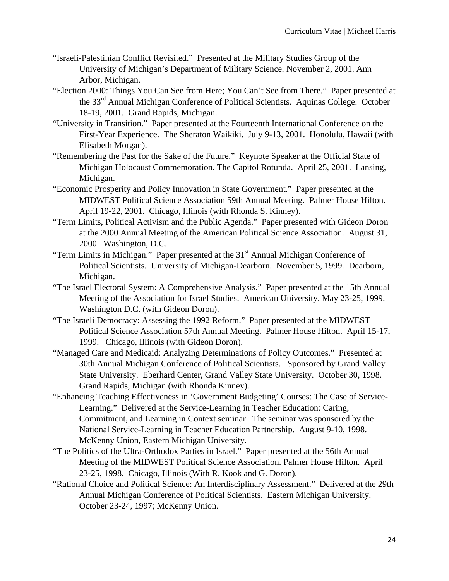- "Israeli-Palestinian Conflict Revisited." Presented at the Military Studies Group of the University of Michigan's Department of Military Science. November 2, 2001. Ann Arbor, Michigan.
- "Election 2000: Things You Can See from Here; You Can't See from There." Paper presented at the 33<sup>rd</sup> Annual Michigan Conference of Political Scientists. Aquinas College. October 18-19, 2001. Grand Rapids, Michigan.
- "University in Transition." Paper presented at the Fourteenth International Conference on the First-Year Experience. The Sheraton Waikiki. July 9-13, 2001. Honolulu, Hawaii (with Elisabeth Morgan).
- "Remembering the Past for the Sake of the Future." Keynote Speaker at the Official State of Michigan Holocaust Commemoration. The Capitol Rotunda. April 25, 2001. Lansing, Michigan.
- "Economic Prosperity and Policy Innovation in State Government." Paper presented at the MIDWEST Political Science Association 59th Annual Meeting. Palmer House Hilton. April 19-22, 2001. Chicago, Illinois (with Rhonda S. Kinney).
- "Term Limits, Political Activism and the Public Agenda." Paper presented with Gideon Doron at the 2000 Annual Meeting of the American Political Science Association. August 31, 2000. Washington, D.C.
- "Term Limits in Michigan." Paper presented at the  $31<sup>st</sup>$  Annual Michigan Conference of Political Scientists. University of Michigan-Dearborn. November 5, 1999. Dearborn, Michigan.
- "The Israel Electoral System: A Comprehensive Analysis." Paper presented at the 15th Annual Meeting of the Association for Israel Studies. American University. May 23-25, 1999. Washington D.C. (with Gideon Doron).
- "The Israeli Democracy: Assessing the 1992 Reform." Paper presented at the MIDWEST Political Science Association 57th Annual Meeting. Palmer House Hilton. April 15-17, 1999. Chicago, Illinois (with Gideon Doron).
- "Managed Care and Medicaid: Analyzing Determinations of Policy Outcomes." Presented at 30th Annual Michigan Conference of Political Scientists. Sponsored by Grand Valley State University. Eberhard Center, Grand Valley State University. October 30, 1998. Grand Rapids, Michigan (with Rhonda Kinney).
- "Enhancing Teaching Effectiveness in 'Government Budgeting' Courses: The Case of Service-Learning." Delivered at the Service-Learning in Teacher Education: Caring, Commitment, and Learning in Context seminar. The seminar was sponsored by the National Service-Learning in Teacher Education Partnership. August 9-10, 1998. McKenny Union, Eastern Michigan University.
- "The Politics of the Ultra-Orthodox Parties in Israel." Paper presented at the 56th Annual Meeting of the MIDWEST Political Science Association. Palmer House Hilton. April 23-25, 1998. Chicago, Illinois (With R. Kook and G. Doron).
- "Rational Choice and Political Science: An Interdisciplinary Assessment." Delivered at the 29th Annual Michigan Conference of Political Scientists. Eastern Michigan University. October 23-24, 1997; McKenny Union.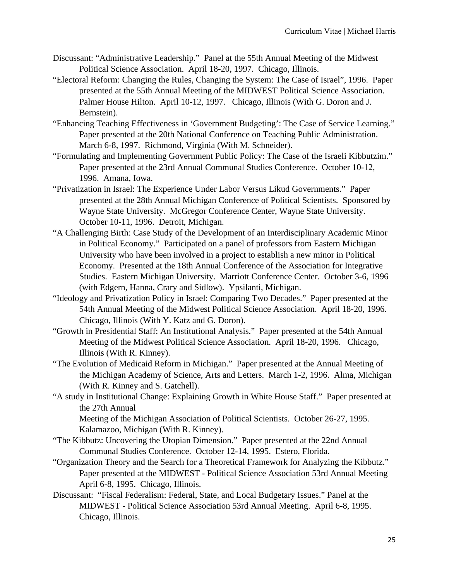- Discussant: "Administrative Leadership." Panel at the 55th Annual Meeting of the Midwest Political Science Association. April 18-20, 1997. Chicago, Illinois.
- "Electoral Reform: Changing the Rules, Changing the System: The Case of Israel", 1996. Paper presented at the 55th Annual Meeting of the MIDWEST Political Science Association. Palmer House Hilton. April 10-12, 1997. Chicago, Illinois (With G. Doron and J. Bernstein).
- "Enhancing Teaching Effectiveness in 'Government Budgeting': The Case of Service Learning." Paper presented at the 20th National Conference on Teaching Public Administration. March 6-8, 1997. Richmond, Virginia (With M. Schneider).
- "Formulating and Implementing Government Public Policy: The Case of the Israeli Kibbutzim." Paper presented at the 23rd Annual Communal Studies Conference. October 10-12, 1996. Amana, Iowa.
- "Privatization in Israel: The Experience Under Labor Versus Likud Governments." Paper presented at the 28th Annual Michigan Conference of Political Scientists. Sponsored by Wayne State University. McGregor Conference Center, Wayne State University. October 10-11, 1996. Detroit, Michigan.
- "A Challenging Birth: Case Study of the Development of an Interdisciplinary Academic Minor in Political Economy." Participated on a panel of professors from Eastern Michigan University who have been involved in a project to establish a new minor in Political Economy. Presented at the 18th Annual Conference of the Association for Integrative Studies. Eastern Michigan University. Marriott Conference Center. October 3-6, 1996 (with Edgern, Hanna, Crary and Sidlow). Ypsilanti, Michigan.
- "Ideology and Privatization Policy in Israel: Comparing Two Decades." Paper presented at the 54th Annual Meeting of the Midwest Political Science Association. April 18-20, 1996. Chicago, Illinois (With Y. Katz and G. Doron).
- "Growth in Presidential Staff: An Institutional Analysis." Paper presented at the 54th Annual Meeting of the Midwest Political Science Association. April 18-20, 1996. Chicago, Illinois (With R. Kinney).
- "The Evolution of Medicaid Reform in Michigan." Paper presented at the Annual Meeting of the Michigan Academy of Science, Arts and Letters. March 1-2, 1996. Alma, Michigan (With R. Kinney and S. Gatchell).
- "A study in Institutional Change: Explaining Growth in White House Staff." Paper presented at the 27th Annual

Meeting of the Michigan Association of Political Scientists. October 26-27, 1995. Kalamazoo, Michigan (With R. Kinney).

- "The Kibbutz: Uncovering the Utopian Dimension." Paper presented at the 22nd Annual Communal Studies Conference. October 12-14, 1995. Estero, Florida.
- "Organization Theory and the Search for a Theoretical Framework for Analyzing the Kibbutz." Paper presented at the MIDWEST - Political Science Association 53rd Annual Meeting April 6-8, 1995. Chicago, Illinois.
- Discussant: "Fiscal Federalism: Federal, State, and Local Budgetary Issues." Panel at the MIDWEST - Political Science Association 53rd Annual Meeting. April 6-8, 1995. Chicago, Illinois.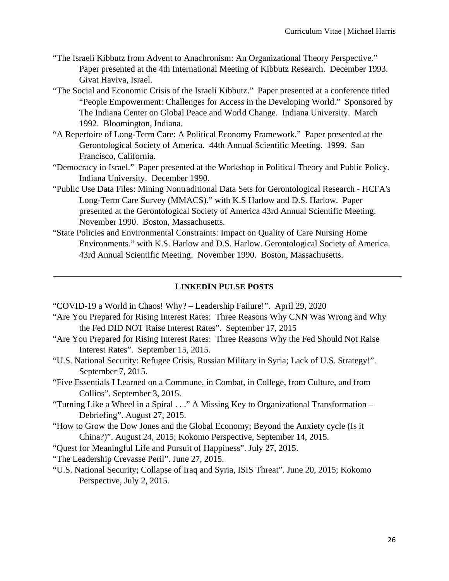- "The Israeli Kibbutz from Advent to Anachronism: An Organizational Theory Perspective." Paper presented at the 4th International Meeting of Kibbutz Research. December 1993. Givat Haviva, Israel.
- "The Social and Economic Crisis of the Israeli Kibbutz." Paper presented at a conference titled "People Empowerment: Challenges for Access in the Developing World." Sponsored by The Indiana Center on Global Peace and World Change. Indiana University. March 1992. Bloomington, Indiana.
- "A Repertoire of Long-Term Care: A Political Economy Framework." Paper presented at the Gerontological Society of America. 44th Annual Scientific Meeting. 1999. San Francisco, California.
- "Democracy in Israel." Paper presented at the Workshop in Political Theory and Public Policy. Indiana University. December 1990.
- "Public Use Data Files: Mining Nontraditional Data Sets for Gerontological Research HCFA's Long-Term Care Survey (MMACS)." with K.S Harlow and D.S. Harlow. Paper presented at the Gerontological Society of America 43rd Annual Scientific Meeting. November 1990. Boston, Massachusetts.
- "State Policies and Environmental Constraints: Impact on Quality of Care Nursing Home Environments." with K.S. Harlow and D.S. Harlow. Gerontological Society of America. 43rd Annual Scientific Meeting. November 1990. Boston, Massachusetts.

### **LINKEDIN PULSE POSTS**

"COVID-19 a World in Chaos! Why? – Leadership Failure!". April 29, 2020

- "Are You Prepared for Rising Interest Rates: Three Reasons Why CNN Was Wrong and Why the Fed DID NOT Raise Interest Rates". September 17, 2015
- "Are You Prepared for Rising Interest Rates: Three Reasons Why the Fed Should Not Raise Interest Rates". September 15, 2015.
- "U.S. National Security: Refugee Crisis, Russian Military in Syria; Lack of U.S. Strategy!". September 7, 2015.
- "Five Essentials I Learned on a Commune, in Combat, in College, from Culture, and from Collins". September 3, 2015.
- "Turning Like a Wheel in a Spiral . . ." A Missing Key to Organizational Transformation Debriefing". August 27, 2015.
- "How to Grow the Dow Jones and the Global Economy; Beyond the Anxiety cycle (Is it China?)". August 24, 2015; Kokomo Perspective, September 14, 2015.
- "Quest for Meaningful Life and Pursuit of Happiness". July 27, 2015.
- "The Leadership Crevasse Peril". June 27, 2015.
- "U.S. National Security; Collapse of Iraq and Syria, ISIS Threat". June 20, 2015; Kokomo Perspective, July 2, 2015.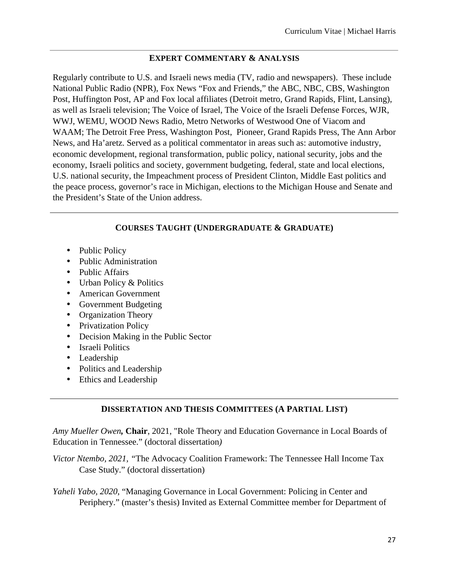### **EXPERT COMMENTARY & ANALYSIS**

Regularly contribute to U.S. and Israeli news media (TV, radio and newspapers). These include National Public Radio (NPR), Fox News "Fox and Friends," the ABC, NBC, CBS, Washington Post, Huffington Post, AP and Fox local affiliates (Detroit metro, Grand Rapids, Flint, Lansing), as well as Israeli television; The Voice of Israel, The Voice of the Israeli Defense Forces, WJR, WWJ, WEMU, WOOD News Radio, Metro Networks of Westwood One of Viacom and WAAM; The Detroit Free Press, Washington Post, Pioneer, Grand Rapids Press, The Ann Arbor News, and Ha'aretz. Served as a political commentator in areas such as: automotive industry, economic development, regional transformation, public policy, national security, jobs and the economy, Israeli politics and society, government budgeting, federal, state and local elections, U.S. national security, the Impeachment process of President Clinton, Middle East politics and the peace process, governor's race in Michigan, elections to the Michigan House and Senate and the President's State of the Union address.

# **COURSES TAUGHT (UNDERGRADUATE & GRADUATE)**

- Public Policy
- Public Administration
- Public Affairs
- Urban Policy & Politics
- American Government
- Government Budgeting
- Organization Theory
- Privatization Policy
- Decision Making in the Public Sector
- Israeli Politics
- Leadership
- Politics and Leadership
- Ethics and Leadership

# **DISSERTATION AND THESIS COMMITTEES (A PARTIAL LIST)**

*Amy Mueller Owen,* **Chair**, 2021, "Role Theory and Education Governance in Local Boards of Education in Tennessee." (doctoral dissertation*)*

*Victor Ntembo, 2021, "*The Advocacy Coalition Framework: The Tennessee Hall Income Tax Case Study." (doctoral dissertation)

*Yaheli Yabo, 2020*, "Managing Governance in Local Government: Policing in Center and Periphery." (master's thesis) Invited as External Committee member for Department of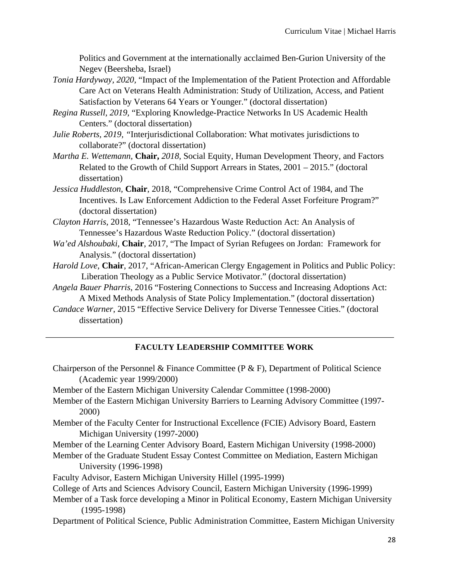Politics and Government at the internationally acclaimed Ben-Gurion University of the Negev (Beersheba, Israel)

- *Tonia Hardyway, 2020,* "Impact of the Implementation of the Patient Protection and Affordable Care Act on Veterans Health Administration: Study of Utilization, Access, and Patient Satisfaction by Veterans 64 Years or Younger." (doctoral dissertation)
- *Regina Russell, 2019,* "Exploring Knowledge-Practice Networks In US Academic Health Centers." (doctoral dissertation)
- *Julie Roberts, 2019, "*Interjurisdictional Collaboration: What motivates jurisdictions to collaborate?" (doctoral dissertation)
- *Martha E. Wettemann,* **Chair,** *2018,* Social Equity, Human Development Theory, and Factors Related to the Growth of Child Support Arrears in States, 2001 – 2015." (doctoral dissertation)
- *Jessica Huddleston,* **Chair**, 2018, "Comprehensive Crime Control Act of 1984, and The Incentives. Is Law Enforcement Addiction to the Federal Asset Forfeiture Program?" (doctoral dissertation)
- *Clayton Harris*, 2018, "Tennessee's Hazardous Waste Reduction Act: An Analysis of Tennessee's Hazardous Waste Reduction Policy." (doctoral dissertation)
- *Wa'ed Alshoubaki*, **Chair**, 2017, "The Impact of Syrian Refugees on Jordan: Framework for Analysis." (doctoral dissertation)
- *Harold Love*, **Chair**, 2017, "African-American Clergy Engagement in Politics and Public Policy: Liberation Theology as a Public Service Motivator." (doctoral dissertation)
- *Angela Bauer Pharris*, 2016 "Fostering Connections to Success and Increasing Adoptions Act: A Mixed Methods Analysis of State Policy Implementation." (doctoral dissertation)
- *Candace Warner*, 2015 "Effective Service Delivery for Diverse Tennessee Cities." (doctoral dissertation)

# **FACULTY LEADERSHIP COMMITTEE WORK**

Chairperson of the Personnel & Finance Committee (P & F), Department of Political Science (Academic year 1999/2000)

Member of the Eastern Michigan University Calendar Committee (1998-2000)

- Member of the Eastern Michigan University Barriers to Learning Advisory Committee (1997- 2000)
- Member of the Faculty Center for Instructional Excellence (FCIE) Advisory Board, Eastern Michigan University (1997-2000)
- Member of the Learning Center Advisory Board, Eastern Michigan University (1998-2000)
- Member of the Graduate Student Essay Contest Committee on Mediation, Eastern Michigan University (1996-1998)
- Faculty Advisor, Eastern Michigan University Hillel (1995-1999)
- College of Arts and Sciences Advisory Council, Eastern Michigan University (1996-1999)
- Member of a Task force developing a Minor in Political Economy, Eastern Michigan University (1995-1998)
- Department of Political Science, Public Administration Committee, Eastern Michigan University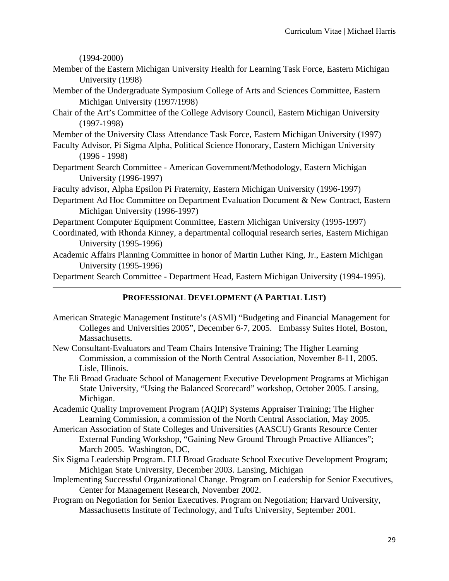(1994-2000)

- Member of the Eastern Michigan University Health for Learning Task Force, Eastern Michigan University (1998)
- Member of the Undergraduate Symposium College of Arts and Sciences Committee, Eastern Michigan University (1997/1998)
- Chair of the Art's Committee of the College Advisory Council, Eastern Michigan University (1997-1998)
- Member of the University Class Attendance Task Force, Eastern Michigan University (1997)
- Faculty Advisor, Pi Sigma Alpha, Political Science Honorary, Eastern Michigan University (1996 - 1998)
- Department Search Committee American Government/Methodology, Eastern Michigan University (1996-1997)
- Faculty advisor, Alpha Epsilon Pi Fraternity, Eastern Michigan University (1996-1997)
- Department Ad Hoc Committee on Department Evaluation Document & New Contract, Eastern Michigan University (1996-1997)

Department Computer Equipment Committee, Eastern Michigan University (1995-1997)

- Coordinated, with Rhonda Kinney, a departmental colloquial research series, Eastern Michigan University (1995-1996)
- Academic Affairs Planning Committee in honor of Martin Luther King, Jr., Eastern Michigan University (1995-1996)

Department Search Committee - Department Head, Eastern Michigan University (1994-1995).

### **PROFESSIONAL DEVELOPMENT (A PARTIAL LIST)**

- American Strategic Management Institute's (ASMI) "Budgeting and Financial Management for Colleges and Universities 2005", December 6-7, 2005. Embassy Suites Hotel, Boston, Massachusetts.
- New Consultant-Evaluators and Team Chairs Intensive Training; The Higher Learning Commission, a commission of the North Central Association, November 8-11, 2005. Lisle, Illinois.
- The Eli Broad Graduate School of Management Executive Development Programs at Michigan State University, "Using the Balanced Scorecard" workshop, October 2005. Lansing, Michigan.
- Academic Quality Improvement Program (AQIP) Systems Appraiser Training; The Higher Learning Commission, a commission of the North Central Association, May 2005.
- American Association of State Colleges and Universities (AASCU) Grants Resource Center External Funding Workshop, "Gaining New Ground Through Proactive Alliances"; March 2005. Washington, DC,
- Six Sigma Leadership Program. ELI Broad Graduate School Executive Development Program; Michigan State University, December 2003. Lansing, Michigan
- Implementing Successful Organizational Change. Program on Leadership for Senior Executives, Center for Management Research, November 2002.
- Program on Negotiation for Senior Executives. Program on Negotiation; Harvard University, Massachusetts Institute of Technology, and Tufts University, September 2001.